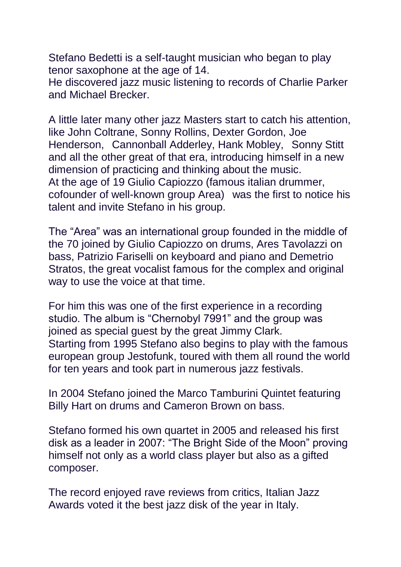Stefano Bedetti is a self-taught musician who began to play tenor saxophone at the age of 14.

He discovered jazz music listening to records of Charlie Parker and Michael Brecker.

A little later many other jazz Masters start to catch his attention, like John Coltrane, Sonny Rollins, Dexter Gordon, Joe Henderson, Cannonball Adderley, Hank Mobley, Sonny Stitt and all the other great of that era, introducing himself in a new dimension of practicing and thinking about the music. At the age of 19 Giulio Capiozzo (famous italian drummer, cofounder of well-known group Area) was the first to notice his talent and invite Stefano in his group.

The "Area" was an international group founded in the middle of the 70 joined by Giulio Capiozzo on drums, Ares Tavolazzi on bass, Patrizio Fariselli on keyboard and piano and Demetrio Stratos, the great vocalist famous for the complex and original way to use the voice at that time.

For him this was one of the first experience in a recording studio. The album is "Chernobyl 7991" and the group was joined as special guest by the great Jimmy Clark. Starting from 1995 Stefano also begins to play with the famous european group Jestofunk, toured with them all round the world for ten years and took part in numerous jazz festivals.

In 2004 Stefano joined the Marco Tamburini Quintet featuring Billy Hart on drums and Cameron Brown on bass.

Stefano formed his own quartet in 2005 and released his first disk as a leader in 2007: "The Bright Side of the Moon" proving himself not only as a world class player but also as a gifted composer.

The record enjoyed rave reviews from critics, Italian Jazz Awards voted it the best jazz disk of the year in Italy.